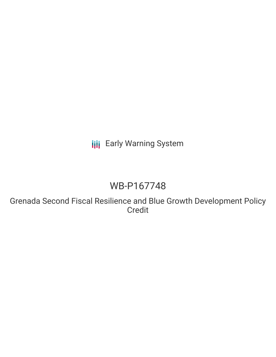**III** Early Warning System

# WB-P167748

Grenada Second Fiscal Resilience and Blue Growth Development Policy Credit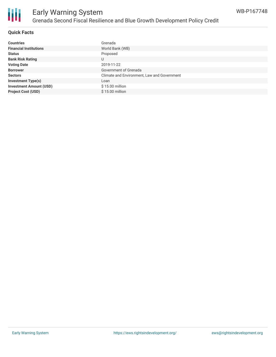

### Early Warning System Grenada Second Fiscal Resilience and Blue Growth Development Policy Credit

### **Quick Facts**

| <b>Countries</b>               | Grenada                                     |
|--------------------------------|---------------------------------------------|
| <b>Financial Institutions</b>  | World Bank (WB)                             |
| <b>Status</b>                  | Proposed                                    |
| <b>Bank Risk Rating</b>        | U                                           |
| <b>Voting Date</b>             | 2019-11-22                                  |
| <b>Borrower</b>                | Government of Grenada                       |
| <b>Sectors</b>                 | Climate and Environment, Law and Government |
| <b>Investment Type(s)</b>      | Loan                                        |
| <b>Investment Amount (USD)</b> | $$15.00$ million                            |
| <b>Project Cost (USD)</b>      | \$15.00 million                             |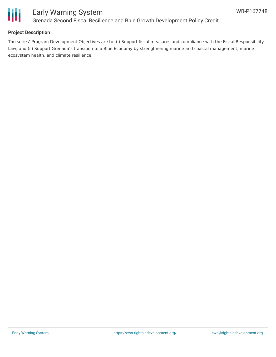

### **Project Description**

The series' Program Development Objectives are to: (i) Support fiscal measures and compliance with the Fiscal Responsibility Law; and (ii) Support Grenada's transition to a Blue Economy by strengthening marine and coastal management, marine ecosystem health, and climate resilience.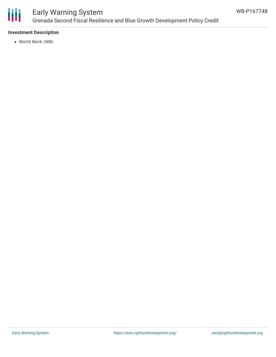

### Early Warning System Grenada Second Fiscal Resilience and Blue Growth Development Policy Credit

### **Investment Description**

World Bank (WB)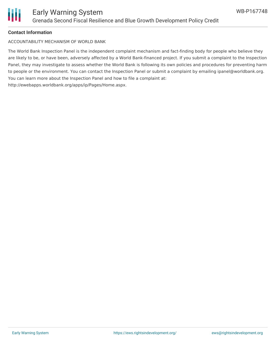

#### **Contact Information**

ACCOUNTABILITY MECHANISM OF WORLD BANK

The World Bank Inspection Panel is the independent complaint mechanism and fact-finding body for people who believe they are likely to be, or have been, adversely affected by a World Bank-financed project. If you submit a complaint to the Inspection Panel, they may investigate to assess whether the World Bank is following its own policies and procedures for preventing harm to people or the environment. You can contact the Inspection Panel or submit a complaint by emailing ipanel@worldbank.org. You can learn more about the Inspection Panel and how to file a complaint at: http://ewebapps.worldbank.org/apps/ip/Pages/Home.aspx.